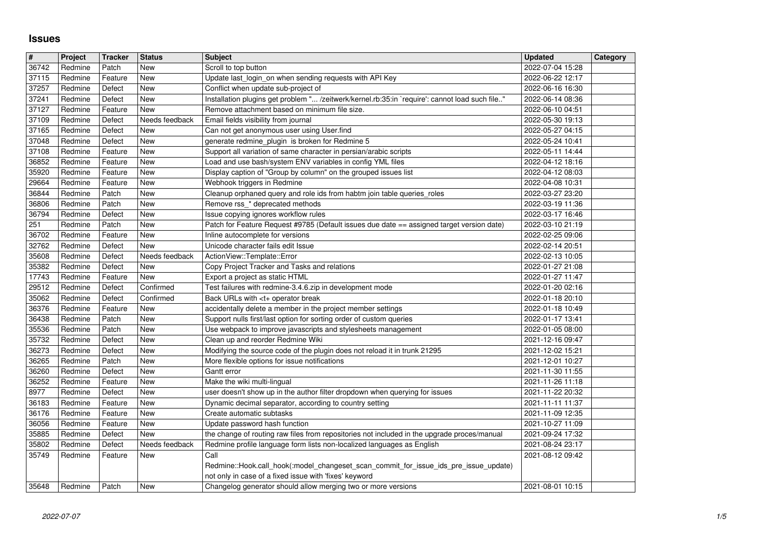## **Issues**

| $\overline{\mathbf{r}}$ | Project            | <b>Tracker</b>    | <b>Status</b>         | <b>Subject</b>                                                                                                          | <b>Updated</b>                       | Category |
|-------------------------|--------------------|-------------------|-----------------------|-------------------------------------------------------------------------------------------------------------------------|--------------------------------------|----------|
| 36742                   | Redmine            | Patch             | <b>New</b>            | Scroll to top button                                                                                                    | 2022-07-04 15:28                     |          |
| 37115                   | Redmine            | Feature           | <b>New</b>            | Update last_login_on when sending requests with API Key                                                                 | 2022-06-22 12:17                     |          |
| 37257                   | Redmine            | Defect            | New                   | Conflict when update sub-project of                                                                                     | 2022-06-16 16:30                     |          |
| 37241                   | Redmine            | Defect            | New                   | Installation plugins get problem " /zeitwerk/kernel.rb:35:in `require': cannot load such file"                          | 2022-06-14 08:36                     |          |
| 37127                   | Redmine            | Feature           | New<br>Needs feedback | Remove attachment based on minimum file size.<br>Email fields visibility from journal                                   | 2022-06-10 04:51                     |          |
| 37109<br>37165          | Redmine<br>Redmine | Defect<br>Defect  | New                   | Can not get anonymous user using User.find                                                                              | 2022-05-30 19:13<br>2022-05-27 04:15 |          |
| 37048                   | Redmine            | Defect            | New                   | generate redmine_plugin is broken for Redmine 5                                                                         | 2022-05-24 10:41                     |          |
| 37108                   | Redmine            | Feature           | New                   | Support all variation of same character in persian/arabic scripts                                                       | 2022-05-11 14:44                     |          |
| 36852                   | Redmine            | Feature           | <b>New</b>            | Load and use bash/system ENV variables in config YML files                                                              | 2022-04-12 18:16                     |          |
| 35920                   | Redmine            | Feature           | New                   | Display caption of "Group by column" on the grouped issues list                                                         | 2022-04-12 08:03                     |          |
| 29664                   | Redmine            | Feature           | New                   | Webhook triggers in Redmine                                                                                             | 2022-04-08 10:31                     |          |
| 36844                   | Redmine            | Patch             | New                   | Cleanup orphaned query and role ids from habtm join table queries_roles                                                 | 2022-03-27 23:20                     |          |
| 36806                   | Redmine            | Patch             | New                   | Remove rss_* deprecated methods                                                                                         | 2022-03-19 11:36                     |          |
| 36794                   | Redmine            | Defect            | New                   | Issue copying ignores workflow rules                                                                                    | 2022-03-17 16:46                     |          |
| 251                     | Redmine            | Patch             | New                   | Patch for Feature Request #9785 (Default issues due date == assigned target version date)                               | 2022-03-10 21:19                     |          |
| 36702<br>32762          | Redmine<br>Redmine | Feature<br>Defect | New<br>New            | Inline autocomplete for versions<br>Unicode character fails edit Issue                                                  | 2022-02-25 09:06<br>2022-02-14 20:51 |          |
| 35608                   | Redmine            | Defect            | Needs feedback        | ActionView::Template::Error                                                                                             | 2022-02-13 10:05                     |          |
| 35382                   | Redmine            | Defect            | New                   | Copy Project Tracker and Tasks and relations                                                                            | 2022-01-27 21:08                     |          |
| 17743                   | Redmine            | Feature           | <b>New</b>            | Export a project as static HTML                                                                                         | 2022-01-27 11:47                     |          |
| 29512                   | Redmine            | Defect            | Confirmed             | Test failures with redmine-3.4.6.zip in development mode                                                                | 2022-01-20 02:16                     |          |
| 35062                   | Redmine            | Defect            | Confirmed             | Back URLs with <t+ break<="" operator="" td=""><td>2022-01-18 20:10</td><td></td></t+>                                  | 2022-01-18 20:10                     |          |
| 36376                   | Redmine            | Feature           | New                   | accidentally delete a member in the project member settings                                                             | 2022-01-18 10:49                     |          |
| 36438                   | Redmine            | Patch             | New                   | Support nulls first/last option for sorting order of custom queries                                                     | 2022-01-17 13:41                     |          |
| 35536                   | Redmine            | Patch             | New                   | Use webpack to improve javascripts and stylesheets management                                                           | 2022-01-05 08:00                     |          |
| 35732                   | Redmine            | Defect            | New                   | Clean up and reorder Redmine Wiki                                                                                       | 2021-12-16 09:47                     |          |
| 36273                   | Redmine            | Defect            | New                   | Modifying the source code of the plugin does not reload it in trunk 21295                                               | 2021-12-02 15:21                     |          |
| 36265                   | Redmine            | Patch             | <b>New</b>            | More flexible options for issue notifications                                                                           | 2021-12-01 10:27                     |          |
| 36260<br>36252          | Redmine<br>Redmine | Defect<br>Feature | <b>New</b><br>New     | Gantt error<br>Make the wiki multi-lingual                                                                              | 2021-11-30 11:55<br>2021-11-26 11:18 |          |
| 8977                    | Redmine            |                   | New                   | user doesn't show up in the author filter dropdown when querying for issues                                             | 2021-11-22 20:32                     |          |
| 36183                   | Redmine            | Defect<br>Feature | <b>New</b>            | Dynamic decimal separator, according to country setting                                                                 | 2021-11-11 11:37                     |          |
| 36176                   | Redmine            | Feature           | New                   | Create automatic subtasks                                                                                               | 2021-11-09 12:35                     |          |
| 36056                   | Redmine            | Feature           | New                   | Update password hash function                                                                                           | 2021-10-27 11:09                     |          |
| 35885                   | Redmine            | Defect            | New                   | the change of routing raw files from repositories not included in the upgrade proces/manual                             | 2021-09-24 17:32                     |          |
| 35802                   | Redmine            | Defect            | Needs feedback        | Redmine profile language form lists non-localized languages as English                                                  | 2021-08-24 23:17                     |          |
| 35749                   | Redmine            | Feature           | New                   | Call                                                                                                                    | 2021-08-12 09:42                     |          |
|                         |                    |                   |                       | Redmine::Hook.call_hook(:model_changeset_scan_commit_for_issue_ids_pre_issue_update)                                    |                                      |          |
| 35648                   | Redmine            | Patch             | New                   | not only in case of a fixed issue with 'fixes' keyword<br>Changelog generator should allow merging two or more versions | 2021-08-01 10:15                     |          |
|                         |                    |                   |                       |                                                                                                                         |                                      |          |
|                         |                    |                   |                       |                                                                                                                         |                                      |          |
|                         |                    |                   |                       |                                                                                                                         |                                      |          |
|                         |                    |                   |                       |                                                                                                                         |                                      |          |
|                         |                    |                   |                       |                                                                                                                         |                                      |          |
|                         |                    |                   |                       |                                                                                                                         |                                      |          |
|                         |                    |                   |                       |                                                                                                                         |                                      |          |
|                         |                    |                   |                       |                                                                                                                         |                                      |          |
|                         |                    |                   |                       |                                                                                                                         |                                      |          |
|                         |                    |                   |                       |                                                                                                                         |                                      |          |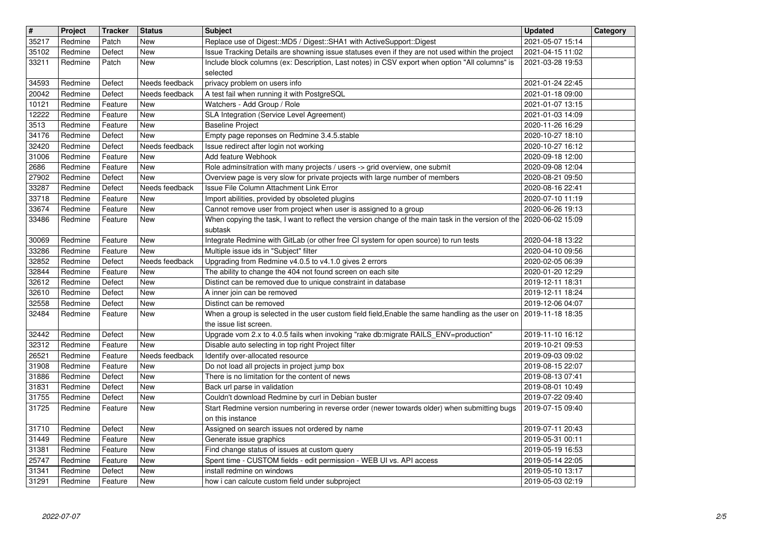| $\overline{\mathbf{H}}$ | Project            | <b>Tracker</b>     | <b>Status</b>                | <b>Subject</b>                                                                                                                 | <b>Updated</b>                       | Category |
|-------------------------|--------------------|--------------------|------------------------------|--------------------------------------------------------------------------------------------------------------------------------|--------------------------------------|----------|
| 35217                   | Redmine            | Patch              | <b>New</b>                   | Replace use of Digest:: MD5 / Digest:: SHA1 with ActiveSupport:: Digest                                                        | 2021-05-07 15:14                     |          |
| 35102                   | Redmine            | Defect             | <b>New</b>                   | Issue Tracking Details are showning issue statuses even if they are not used within the project                                | 2021-04-15 11:02                     |          |
| 33211                   | Redmine            | Patch              | <b>New</b>                   | Include block columns (ex: Description, Last notes) in CSV export when option "All columns" is<br>selected                     | 2021-03-28 19:53                     |          |
| 34593                   | Redmine            | Defect             | Needs feedback               | privacy problem on users info                                                                                                  | 2021-01-24 22:45                     |          |
| 20042                   | Redmine            | Defect             | Needs feedback               | A test fail when running it with PostgreSQL                                                                                    | 2021-01-18 09:00                     |          |
| 10121                   | Redmine            | Feature            | <b>New</b>                   | Watchers - Add Group / Role                                                                                                    | 2021-01-07 13:15                     |          |
| 12222                   | Redmine            | Feature            | New                          | SLA Integration (Service Level Agreement)                                                                                      | 2021-01-03 14:09                     |          |
| 3513<br>34176           | Redmine<br>Redmine | Feature<br>Defect  | New<br>New                   | <b>Baseline Project</b><br>Empty page reponses on Redmine 3.4.5.stable                                                         | 2020-11-26 16:29<br>2020-10-27 18:10 |          |
| 32420                   | Redmine            | Defect             | Needs feedback               | Issue redirect after login not working                                                                                         | 2020-10-27 16:12                     |          |
| 31006                   | Redmine            | Feature            | <b>New</b>                   | Add feature Webhook                                                                                                            | 2020-09-18 12:00                     |          |
| 2686                    | Redmine            | Feature            | <b>New</b>                   | Role adminsitration with many projects / users -> grid overview, one submit                                                    | 2020-09-08 12:04                     |          |
| 27902                   | Redmine            | Defect             | <b>New</b>                   | Overview page is very slow for private projects with large number of members                                                   | 2020-08-21 09:50                     |          |
| 33287<br>33718          | Redmine<br>Redmine | Defect<br>Feature  | Needs feedback<br><b>New</b> | Issue File Column Attachment Link Error<br>Import abilities, provided by obsoleted plugins                                     | 2020-08-16 22:41<br>2020-07-10 11:19 |          |
| 33674                   | Redmine            | Feature            | New                          | Cannot remove user from project when user is assigned to a group                                                               | 2020-06-26 19:13                     |          |
| 33486                   | Redmine            | Feature            | New                          | When copying the task, I want to reflect the version change of the main task in the version of the 2020-06-02 15:09            |                                      |          |
|                         |                    |                    |                              | subtask                                                                                                                        |                                      |          |
| 30069<br>33286          | Redmine<br>Redmine | Feature<br>Feature | New<br>New                   | Integrate Redmine with GitLab (or other free CI system for open source) to run tests<br>Multiple issue ids in "Subject" filter | 2020-04-18 13:22<br>2020-04-10 09:56 |          |
| 32852                   | Redmine            | Defect             | Needs feedback               | Upgrading from Redmine v4.0.5 to v4.1.0 gives 2 errors                                                                         | 2020-02-05 06:39                     |          |
| 32844                   | Redmine            | Feature            | New                          | The ability to change the 404 not found screen on each site                                                                    | 2020-01-20 12:29                     |          |
| 32612                   | Redmine            | Defect             | New                          | Distinct can be removed due to unique constraint in database                                                                   | 2019-12-11 18:31                     |          |
| 32610<br>32558          | Redmine<br>Redmine | Defect<br>Defect   | New<br><b>New</b>            | A inner join can be removed<br>Distinct can be removed                                                                         | 2019-12-11 18:24<br>2019-12-06 04:07 |          |
| 32484                   | Redmine            | Feature            | New                          | When a group is selected in the user custom field field, Enable the same handling as the user on                               | 2019-11-18 18:35                     |          |
|                         |                    |                    |                              | the issue list screen.                                                                                                         |                                      |          |
| 32442                   | Redmine            | Defect             | <b>New</b>                   | Upgrade vom 2.x to 4.0.5 fails when invoking "rake db:migrate RAILS_ENV=production"                                            | 2019-11-10 16:12                     |          |
| 32312<br>26521          | Redmine<br>Redmine | Feature<br>Feature | <b>New</b><br>Needs feedback | Disable auto selecting in top right Project filter<br>Identify over-allocated resource                                         | 2019-10-21 09:53<br>2019-09-03 09:02 |          |
| 31908                   | Redmine            | Feature            | New                          | Do not load all projects in project jump box                                                                                   | 2019-08-15 22:07                     |          |
| 31886                   | Redmine            | Defect             | New                          | There is no limitation for the content of news                                                                                 | 2019-08-13 07:41                     |          |
| 31831                   | Redmine            | Defect             | New                          | Back url parse in validation                                                                                                   | 2019-08-01 10:49                     |          |
| 31755                   | Redmine            | Defect             | <b>New</b>                   | Couldn't download Redmine by curl in Debian buster                                                                             | 2019-07-22 09:40                     |          |
| 31725                   | Redmine            | Feature            | New                          | Start Redmine version numbering in reverse order (newer towards older) when submitting bugs<br>on this instance                | 2019-07-15 09:40                     |          |
| 31710                   | Redmine            | Defect             | <b>New</b>                   | Assigned on search issues not ordered by name                                                                                  | 2019-07-11 20:43                     |          |
| 31449                   | Redmine            | Feature            | New                          | Generate issue graphics                                                                                                        | 2019-05-31 00:11                     |          |
| 31381                   | Redmine            | Feature            | New                          | Find change status of issues at custom query                                                                                   | 2019-05-19 16:53                     |          |
| 25747<br>31341          | Redmine            | Feature            | New<br>New                   | Spent time - CUSTOM fields - edit permission - WEB UI vs. API access<br>install redmine on windows                             | 2019-05-14 22:05<br>2019-05-10 13:17 |          |
| 31291                   | Redmine<br>Redmine | Defect<br>Feature  | New                          | how i can calcute custom field under subproject                                                                                | 2019-05-03 02:19                     |          |
|                         |                    |                    |                              |                                                                                                                                |                                      |          |
|                         |                    |                    |                              |                                                                                                                                |                                      |          |
|                         |                    |                    |                              |                                                                                                                                |                                      |          |
|                         |                    |                    |                              |                                                                                                                                |                                      |          |
|                         |                    |                    |                              |                                                                                                                                |                                      |          |
|                         |                    |                    |                              |                                                                                                                                |                                      |          |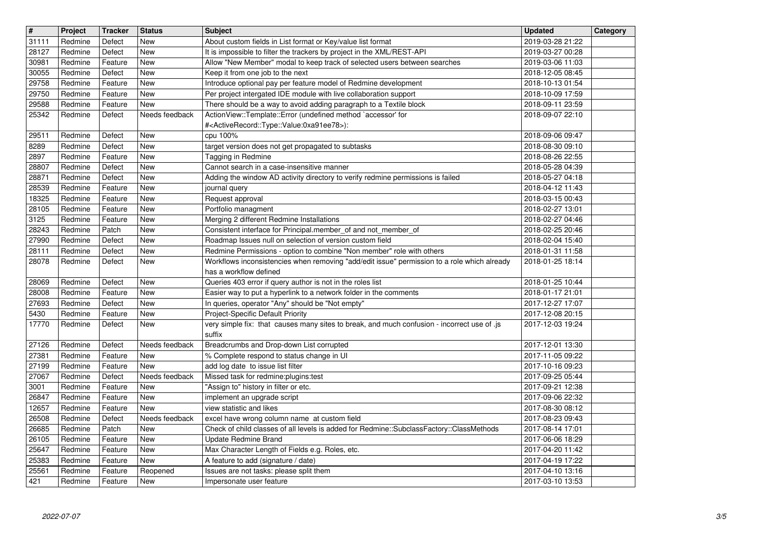| $\overline{\mathbf{H}}$ | Project            | <b>Tracker</b>     | <b>Status</b>   | <b>Subject</b>                                                                                                                       | <b>Updated</b>                       | Category |
|-------------------------|--------------------|--------------------|-----------------|--------------------------------------------------------------------------------------------------------------------------------------|--------------------------------------|----------|
| 31111                   | Redmine            | Defect             | New             | About custom fields in List format or Key/value list format                                                                          | 2019-03-28 21:22                     |          |
| 28127                   | Redmine            | Defect             | New             | It is impossible to filter the trackers by project in the XML/REST-API                                                               | 2019-03-27 00:28                     |          |
| 30981                   | Redmine            | Feature            | New             | Allow "New Member" modal to keep track of selected users between searches                                                            | 2019-03-06 11:03                     |          |
| 30055                   | Redmine            | Defect             | New             | Keep it from one job to the next                                                                                                     | 2018-12-05 08:45                     |          |
| 29758<br>29750          | Redmine            | Feature            | New             | Introduce optional pay per feature model of Redmine development<br>Per project intergated IDE module with live collaboration support | 2018-10-13 01:54                     |          |
| 29588                   | Redmine<br>Redmine | Feature<br>Feature | New<br>New      | There should be a way to avoid adding paragraph to a Textile block                                                                   | 2018-10-09 17:59<br>2018-09-11 23:59 |          |
| 25342                   | Redmine            | Defect             | Needs feedback  | ActionView::Template::Error (undefined method `accessor' for                                                                         | 2018-09-07 22:10                     |          |
|                         |                    |                    |                 | # <activerecord::type::value:0xa91ee78>):</activerecord::type::value:0xa91ee78>                                                      |                                      |          |
| 29511                   | Redmine            | Defect             | New             | cpu 100%                                                                                                                             | 2018-09-06 09:47                     |          |
| 8289                    | Redmine            | Defect             | New             | target version does not get propagated to subtasks                                                                                   | 2018-08-30 09:10                     |          |
| 2897                    | Redmine            | Feature            | <b>New</b>      | Tagging in Redmine                                                                                                                   | 2018-08-26 22:55                     |          |
| 28807                   | Redmine            | Defect             | New             | Cannot search in a case-insensitive manner                                                                                           | 2018-05-28 04:39                     |          |
| 28871                   | Redmine            | Defect             | New             | Adding the window AD activity directory to verify redmine permissions is failed                                                      | 2018-05-27 04:18                     |          |
| 28539<br>18325          | Redmine<br>Redmine | Feature<br>Feature | New<br>New      | journal query<br>Request approval                                                                                                    | 2018-04-12 11:43<br>2018-03-15 00:43 |          |
| 28105                   | Redmine            | Feature            | New             | Portfolio managment                                                                                                                  | 2018-02-27 13:01                     |          |
| 3125                    | Redmine            | Feature            | <b>New</b>      | Merging 2 different Redmine Installations                                                                                            | 2018-02-27 04:46                     |          |
| 28243                   | Redmine            | Patch              | <b>New</b>      | Consistent interface for Principal.member_of and not_member_of                                                                       | 2018-02-25 20:46                     |          |
| 27990                   | Redmine            | Defect             | New             | Roadmap Issues null on selection of version custom field                                                                             | 2018-02-04 15:40                     |          |
| 28111                   | Redmine            | Defect             | New             | Redmine Permissions - option to combine "Non member" role with others                                                                | 2018-01-31 11:58                     |          |
| 28078                   | Redmine            | Defect             | New             | Workflows inconsistencies when removing "add/edit issue" permission to a role which already                                          | 2018-01-25 18:14                     |          |
|                         |                    |                    | <b>New</b>      | has a workflow defined                                                                                                               |                                      |          |
| 28069<br>28008          | Redmine<br>Redmine | Defect<br>Feature  | New             | Queries 403 error if query author is not in the roles list<br>Easier way to put a hyperlink to a network folder in the comments      | 2018-01-25 10:44<br>2018-01-17 21:01 |          |
| 27693                   | Redmine            | Defect             | New             | In queries, operator "Any" should be "Not empty"                                                                                     | 2017-12-27 17:07                     |          |
| 5430                    | Redmine            | Feature            | <b>New</b>      | Project-Specific Default Priority                                                                                                    | 2017-12-08 20:15                     |          |
| 17770                   | Redmine            | Defect             | New             | very simple fix: that causes many sites to break, and much confusion - incorrect use of .js                                          | 2017-12-03 19:24                     |          |
|                         |                    |                    |                 | suffix                                                                                                                               |                                      |          |
| 27126                   | Redmine            | Defect             | Needs feedback  | Breadcrumbs and Drop-down List corrupted                                                                                             | 2017-12-01 13:30                     |          |
| 27381                   | Redmine            | Feature            | New             | % Complete respond to status change in UI                                                                                            | 2017-11-05 09:22                     |          |
| 27199                   | Redmine            | Feature            | New             | add log date to issue list filter                                                                                                    | 2017-10-16 09:23                     |          |
| 27067                   | Redmine            | Defect             | Needs feedback  | Missed task for redmine:plugins:test                                                                                                 | 2017-09-25 05:44                     |          |
| 3001<br>26847           | Redmine<br>Redmine | Feature<br>Feature | New<br>New      | "Assign to" history in filter or etc.<br>implement an upgrade script                                                                 | 2017-09-21 12:38<br>2017-09-06 22:32 |          |
| 12657                   | Redmine            | Feature            | New             | view statistic and likes                                                                                                             | 2017-08-30 08:12                     |          |
| 26508                   | Redmine            | Defect             | Needs feedback  | excel have wrong column name at custom field                                                                                         | 2017-08-23 09:43                     |          |
| 26685                   | Redmine            | Patch              | New             | Check of child classes of all levels is added for Redmine::SubclassFactory::ClassMethods                                             | 2017-08-14 17:01                     |          |
| 26105                   | Redmine            | Feature            | New             | <b>Update Redmine Brand</b>                                                                                                          | 2017-06-06 18:29                     |          |
| 25647                   | Redmine            | Feature            | New             | Max Character Length of Fields e.g. Roles, etc.                                                                                      | 2017-04-20 11:42                     |          |
| 25383                   | Redmine            | Feature            | New             | A feature to add (signature / date)                                                                                                  | 2017-04-19 17:22                     |          |
| 25561<br>421            | Redmine<br>Redmine | Feature<br>Feature | Reopened<br>New | Issues are not tasks: please split them<br>Impersonate user feature                                                                  | 2017-04-10 13:16<br>2017-03-10 13:53 |          |
|                         |                    |                    |                 |                                                                                                                                      |                                      |          |
|                         |                    |                    |                 |                                                                                                                                      |                                      |          |
|                         |                    |                    |                 |                                                                                                                                      |                                      |          |
|                         |                    |                    |                 |                                                                                                                                      |                                      |          |
|                         |                    |                    |                 |                                                                                                                                      |                                      |          |
|                         |                    |                    |                 |                                                                                                                                      |                                      |          |
|                         |                    |                    |                 |                                                                                                                                      |                                      |          |
|                         |                    |                    |                 |                                                                                                                                      |                                      |          |
|                         |                    |                    |                 |                                                                                                                                      |                                      |          |
|                         |                    |                    |                 |                                                                                                                                      |                                      |          |
|                         |                    |                    |                 |                                                                                                                                      |                                      |          |
|                         |                    |                    |                 |                                                                                                                                      |                                      |          |
|                         |                    |                    |                 |                                                                                                                                      |                                      |          |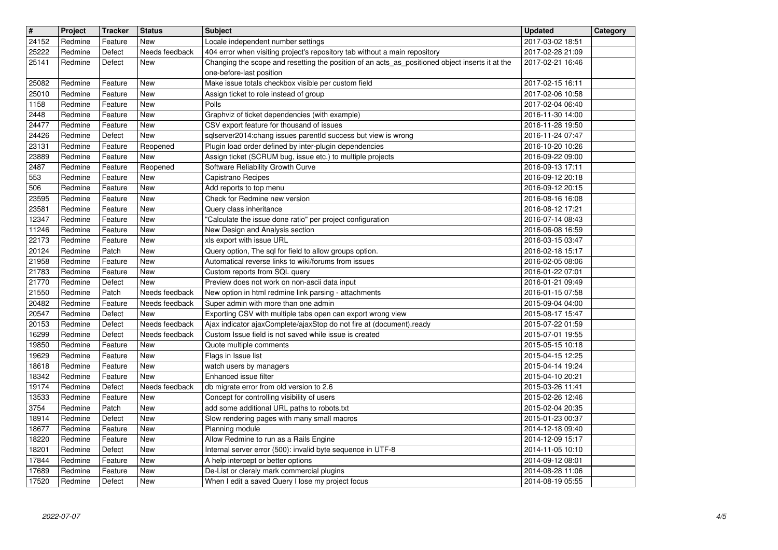| $\overline{\mathbf{H}}$ | Project            | <b>Tracker</b>     | <b>Status</b>            | <b>Subject</b>                                                                                                                                                                | <b>Updated</b>                       | Category |
|-------------------------|--------------------|--------------------|--------------------------|-------------------------------------------------------------------------------------------------------------------------------------------------------------------------------|--------------------------------------|----------|
| 24152                   | Redmine            | Feature            | New                      | Locale independent number settings                                                                                                                                            | 2017-03-02 18:51                     |          |
| 25222<br>25141          | Redmine<br>Redmine | Defect<br>Defect   | Needs feedback<br>New    | 404 error when visiting project's repository tab without a main repository<br>Changing the scope and resetting the position of an acts_as_positioned object inserts it at the | 2017-02-28 21:09<br>2017-02-21 16:46 |          |
|                         |                    |                    |                          | one-before-last position                                                                                                                                                      |                                      |          |
| 25082                   | Redmine            | Feature            | <b>New</b>               | Make issue totals checkbox visible per custom field                                                                                                                           | 2017-02-15 16:11                     |          |
| 25010                   | Redmine            | Feature            | <b>New</b>               | Assign ticket to role instead of group                                                                                                                                        | 2017-02-06 10:58                     |          |
| 1158<br>2448            | Redmine<br>Redmine | Feature<br>Feature | <b>New</b><br><b>New</b> | Polls<br>Graphviz of ticket dependencies (with example)                                                                                                                       | 2017-02-04 06:40<br>2016-11-30 14:00 |          |
| 24477                   | Redmine            | Feature            | New                      | CSV export feature for thousand of issues                                                                                                                                     | 2016-11-28 19:50                     |          |
| 24426                   | Redmine            | Defect             | New                      | sqlserver2014:chang issues parentld success but view is wrong                                                                                                                 | 2016-11-24 07:47                     |          |
| 23131                   | Redmine            | Feature            | Reopened                 | Plugin load order defined by inter-plugin dependencies                                                                                                                        | 2016-10-20 10:26                     |          |
| 23889<br>2487           | Redmine<br>Redmine | Feature<br>Feature | New<br>Reopened          | Assign ticket (SCRUM bug, issue etc.) to multiple projects<br>Software Reliability Growth Curve                                                                               | 2016-09-22 09:00<br>2016-09-13 17:11 |          |
| 553                     | Redmine            | Feature            | New                      | Capistrano Recipes                                                                                                                                                            | 2016-09-12 20:18                     |          |
| 506                     | Redmine            | Feature            | <b>New</b>               | Add reports to top menu                                                                                                                                                       | 2016-09-12 20:15                     |          |
| 23595<br>23581          | Redmine<br>Redmine | Feature<br>Feature | <b>New</b><br><b>New</b> | Check for Redmine new version<br>Query class inheritance                                                                                                                      | 2016-08-16 16:08<br>2016-08-12 17:21 |          |
| 12347                   | Redmine            | Feature            | <b>New</b>               | "Calculate the issue done ratio" per project configuration                                                                                                                    | 2016-07-14 08:43                     |          |
| 11246                   | Redmine            | Feature            | New                      | New Design and Analysis section                                                                                                                                               | 2016-06-08 16:59                     |          |
| 22173                   | Redmine            | Feature            | <b>New</b>               | xls export with issue URL                                                                                                                                                     | 2016-03-15 03:47                     |          |
| 20124<br>21958          | Redmine<br>Redmine | Patch<br>Feature   | New<br><b>New</b>        | Query option, The sql for field to allow groups option.<br>Automatical reverse links to wiki/forums from issues                                                               | 2016-02-18 15:17<br>2016-02-05 08:06 |          |
| 21783                   | Redmine            | Feature            | <b>New</b>               | Custom reports from SQL query                                                                                                                                                 | 2016-01-22 07:01                     |          |
| 21770                   | Redmine            | Defect             | New                      | Preview does not work on non-ascii data input                                                                                                                                 | 2016-01-21 09:49                     |          |
| 21550                   | Redmine            | Patch              | Needs feedback           | New option in html redmine link parsing - attachments                                                                                                                         | 2016-01-15 07:58                     |          |
| 20482<br>20547          | Redmine<br>Redmine | Feature<br>Defect  | Needs feedback<br>New    | Super admin with more than one admin<br>Exporting CSV with multiple tabs open can export wrong view                                                                           | 2015-09-04 04:00<br>2015-08-17 15:47 |          |
| 20153                   | Redmine            | Defect             | Needs feedback           | Ajax indicator ajaxComplete/ajaxStop do not fire at (document).ready                                                                                                          | 2015-07-22 01:59                     |          |
| 16299                   | Redmine            | Defect             | Needs feedback           | Custom Issue field is not saved while issue is created                                                                                                                        | 2015-07-01 19:55                     |          |
| 19850                   | Redmine            | Feature            | New                      | Quote multiple comments                                                                                                                                                       | 2015-05-15 10:18                     |          |
| 19629<br>18618          | Redmine<br>Redmine | Feature<br>Feature | New<br><b>New</b>        | Flags in Issue list<br>watch users by managers                                                                                                                                | 2015-04-15 12:25<br>2015-04-14 19:24 |          |
| 18342                   | Redmine            | Feature            | New                      | Enhanced issue filter                                                                                                                                                         | 2015-04-10 20:21                     |          |
| 19174                   | Redmine            | Defect             | Needs feedback           | db migrate error from old version to 2.6                                                                                                                                      | 2015-03-26 11:41                     |          |
| 13533<br>3754           | Redmine<br>Redmine | Feature<br>Patch   | <b>New</b><br><b>New</b> | Concept for controlling visibility of users<br>add some additional URL paths to robots.txt                                                                                    | 2015-02-26 12:46                     |          |
| 18914                   | Redmine            | Defect             | <b>New</b>               | Slow rendering pages with many small macros                                                                                                                                   | 2015-02-04 20:35<br>2015-01-23 00:37 |          |
| 18677                   | Redmine            | Feature            | New                      | Planning module                                                                                                                                                               | 2014-12-18 09:40                     |          |
| 18220                   | Redmine            | Feature            | New                      | Allow Redmine to run as a Rails Engine                                                                                                                                        | 2014-12-09 15:17                     |          |
| 18201<br>17844          | Redmine<br>Redmine | Defect<br>Feature  | <b>New</b><br>New        | Internal server error (500): invalid byte sequence in UTF-8<br>A help intercept or better options                                                                             | 2014-11-05 10:10<br>2014-09-12 08:01 |          |
| 17689                   | Redmine            | Feature            | New                      | De-List or cleraly mark commercial plugins                                                                                                                                    | 2014-08-28 11:06                     |          |
| 17520                   | Redmine            | Defect             | New                      | When I edit a saved Query I lose my project focus                                                                                                                             | 2014-08-19 05:55                     |          |
|                         |                    |                    |                          |                                                                                                                                                                               |                                      |          |
|                         |                    |                    |                          |                                                                                                                                                                               |                                      |          |
|                         |                    |                    |                          |                                                                                                                                                                               |                                      |          |
|                         |                    |                    |                          |                                                                                                                                                                               |                                      |          |
|                         |                    |                    |                          |                                                                                                                                                                               |                                      |          |
|                         |                    |                    |                          |                                                                                                                                                                               |                                      |          |
|                         |                    |                    |                          |                                                                                                                                                                               |                                      |          |
|                         |                    |                    |                          |                                                                                                                                                                               |                                      |          |
|                         |                    |                    |                          |                                                                                                                                                                               |                                      |          |